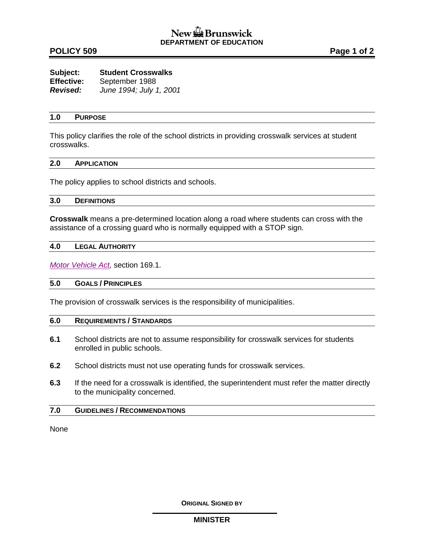## **POLICY 509 Page 1 of 2**

| Subject:        | <b>Student Crosswalks</b> |
|-----------------|---------------------------|
| Effective:      | September 1988            |
| <b>Revised:</b> | June 1994; July 1, 2001   |

#### **1.0 PURPOSE**

This policy clarifies the role of the school districts in providing crosswalk services at student crosswalks.

#### **2.0 APPLICATION**

The policy applies to school districts and schools.

#### **3.0 DEFINITIONS**

**Crosswalk** means a pre-determined location along a road where students can cross with the assistance of a crossing guard who is normally equipped with a STOP sign.

#### **4.0 LEGAL AUTHORITY**

*[Motor Vehicle Act,](http://laws.gnb.ca/en/ShowPdf/cs/M-17.pdf)* section 169.1.

## **5.0 GOALS / PRINCIPLES**

The provision of crosswalk services is the responsibility of municipalities.

## **6.0 REQUIREMENTS / STANDARDS**

- **6.1** School districts are not to assume responsibility for crosswalk services for students enrolled in public schools.
- **6.2** School districts must not use operating funds for crosswalk services.
- **6.3** If the need for a crosswalk is identified, the superintendent must refer the matter directly to the municipality concerned.

#### **7.0 GUIDELINES / RECOMMENDATIONS**

None

**ORIGINAL SIGNED BY**

#### **MINISTER**